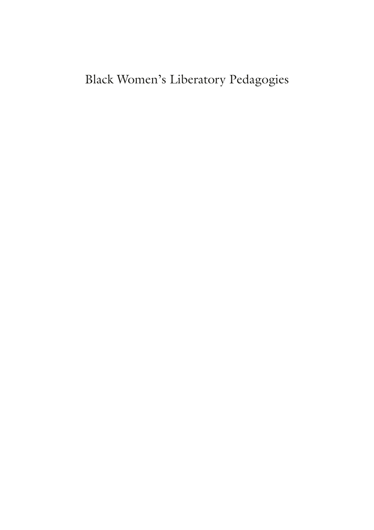## Black Women's Liberatory Pedagogies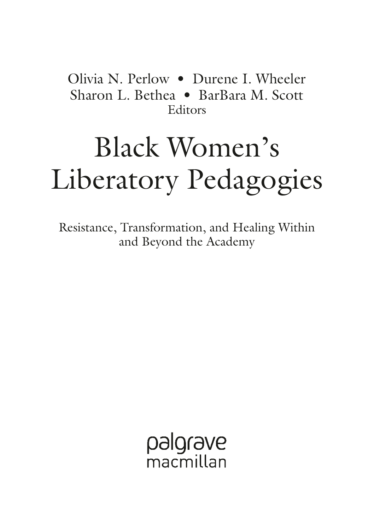Olivia N. Perlow • Durene I. Wheeler Sharon L. Bethea • BarBara M. Scott Editors

# Black Women's Liberatory Pedagogies

Resistance, Transformation, and Healing Within and Beyond the Academy

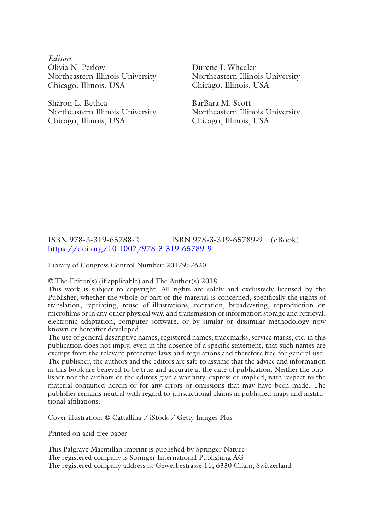*Editors* Olivia N. Perlow Northeastern Illinois University Chicago, Illinois, USA

Sharon L. Bethea Northeastern Illinois University Chicago, Illinois, USA

Durene I. Wheeler Northeastern Illinois University Chicago, Illinois, USA

BarBara M. Scott Northeastern Illinois University Chicago, Illinois, USA

#### ISBN 978-3-319-65788-2 ISBN 978-3-319-65789-9 (eBook) <https://doi.org/10.1007/978-3-319-65789-9>

Library of Congress Control Number: 2017957620

© The Editor(s) (if applicable) and The Author(s) 2018

This work is subject to copyright. All rights are solely and exclusively licensed by the Publisher, whether the whole or part of the material is concerned, specifically the rights of translation, reprinting, reuse of illustrations, recitation, broadcasting, reproduction on microfilms or in any other physical way, and transmission or information storage and retrieval, electronic adaptation, computer software, or by similar or dissimilar methodology now known or hereafter developed.

The use of general descriptive names, registered names, trademarks, service marks, etc. in this publication does not imply, even in the absence of a specific statement, that such names are exempt from the relevant protective laws and regulations and therefore free for general use. The publisher, the authors and the editors are safe to assume that the advice and information in this book are believed to be true and accurate at the date of publication. Neither the publisher nor the authors or the editors give a warranty, express or implied, with respect to the material contained herein or for any errors or omissions that may have been made. The publisher remains neutral with regard to jurisdictional claims in published maps and institutional affiliations.

Cover illustration: © Cattallina / iStock / Getty Images Plus

Printed on acid-free paper

This Palgrave Macmillan imprint is published by Springer Nature The registered company is Springer International Publishing AG The registered company address is: Gewerbestrasse 11, 6330 Cham, Switzerland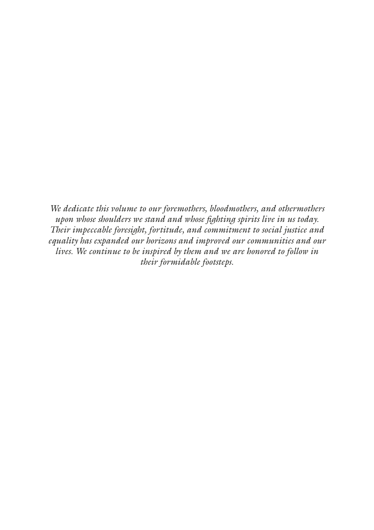*We dedicate this volume to our foremothers, bloodmothers, and othermothers upon whose shoulders we stand and whose fighting spirits live in us today. Their impeccable foresight, fortitude, and commitment to social justice and equality has expanded our horizons and improved our communities and our lives. We continue to be inspired by them and we are honored to follow in their formidable footsteps.*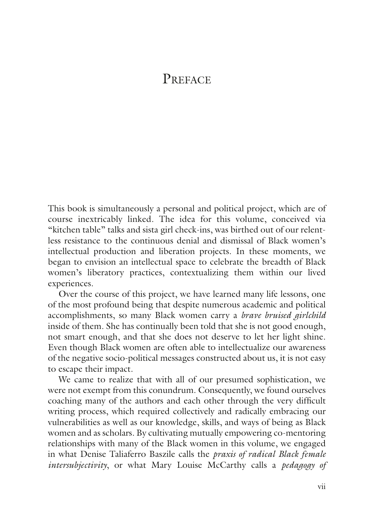#### **PREFACE**

This book is simultaneously a personal and political project, which are of course inextricably linked. The idea for this volume, conceived via "kitchen table" talks and sista girl check-ins, was birthed out of our relentless resistance to the continuous denial and dismissal of Black women's intellectual production and liberation projects. In these moments, we began to envision an intellectual space to celebrate the breadth of Black women's liberatory practices, contextualizing them within our lived experiences.

Over the course of this project, we have learned many life lessons, one of the most profound being that despite numerous academic and political accomplishments, so many Black women carry a *brave bruised girlchild* inside of them. She has continually been told that she is not good enough, not smart enough, and that she does not deserve to let her light shine. Even though Black women are often able to intellectualize our awareness of the negative socio-political messages constructed about us, it is not easy to escape their impact.

We came to realize that with all of our presumed sophistication, we were not exempt from this conundrum. Consequently, we found ourselves coaching many of the authors and each other through the very difficult writing process, which required collectively and radically embracing our vulnerabilities as well as our knowledge, skills, and ways of being as Black women and as scholars. By cultivating mutually empowering co-mentoring relationships with many of the Black women in this volume, we engaged in what Denise Taliaferro Baszile calls the *praxis of radical Black female intersubjectivity*, or what Mary Louise McCarthy calls a *pedagogy of*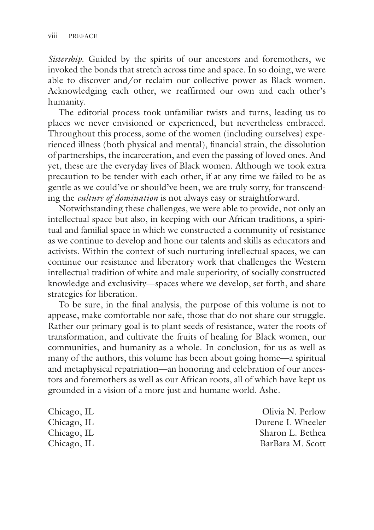*Sistership*. Guided by the spirits of our ancestors and foremothers, we invoked the bonds that stretch across time and space. In so doing, we were able to discover and/or reclaim our collective power as Black women. Acknowledging each other, we reaffirmed our own and each other's humanity.

The editorial process took unfamiliar twists and turns, leading us to places we never envisioned or experienced, but nevertheless embraced. Throughout this process, some of the women (including ourselves) experienced illness (both physical and mental), financial strain, the dissolution of partnerships, the incarceration, and even the passing of loved ones. And yet, these are the everyday lives of Black women. Although we took extra precaution to be tender with each other, if at any time we failed to be as gentle as we could've or should've been, we are truly sorry, for transcending the *culture of domination* is not always easy or straightforward.

Notwithstanding these challenges, we were able to provide, not only an intellectual space but also, in keeping with our African traditions, a spiritual and familial space in which we constructed a community of resistance as we continue to develop and hone our talents and skills as educators and activists. Within the context of such nurturing intellectual spaces, we can continue our resistance and liberatory work that challenges the Western intellectual tradition of white and male superiority, of socially constructed knowledge and exclusivity—spaces where we develop, set forth, and share strategies for liberation.

To be sure, in the final analysis, the purpose of this volume is not to appease, make comfortable nor safe, those that do not share our struggle. Rather our primary goal is to plant seeds of resistance, water the roots of transformation, and cultivate the fruits of healing for Black women, our communities, and humanity as a whole. In conclusion, for us as well as many of the authors, this volume has been about going home—a spiritual and metaphysical repatriation—an honoring and celebration of our ancestors and foremothers as well as our African roots, all of which have kept us grounded in a vision of a more just and humane world. Ashe.

| Chicago, IL | Olivia N. Perlow  |
|-------------|-------------------|
| Chicago, IL | Durene I. Wheeler |
| Chicago, IL | Sharon L. Bethea  |
| Chicago, IL | BarBara M. Scott  |
|             |                   |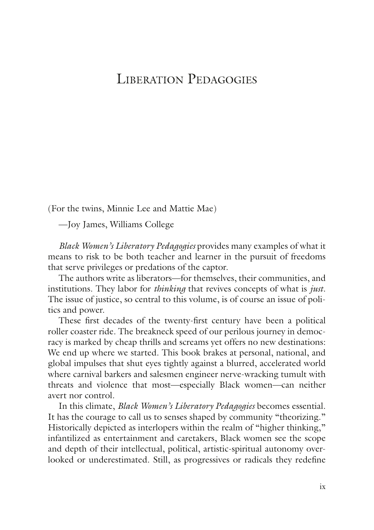#### LIBERATION PEDAGOGIES

(For the twins, Minnie Lee and Mattie Mae)

—Joy James, Williams College

*Black Women's Liberatory Pedagogies* provides many examples of what it means to risk to be both teacher and learner in the pursuit of freedoms that serve privileges or predations of the captor.

The authors write as liberators—for themselves, their communities, and institutions. They labor for *thinking* that revives concepts of what is *just*. The issue of justice, so central to this volume, is of course an issue of politics and power.

These first decades of the twenty-first century have been a political roller coaster ride. The breakneck speed of our perilous journey in democracy is marked by cheap thrills and screams yet offers no new destinations: We end up where we started. This book brakes at personal, national, and global impulses that shut eyes tightly against a blurred, accelerated world where carnival barkers and salesmen engineer nerve-wracking tumult with threats and violence that most—especially Black women—can neither avert nor control.

In this climate, *Black Women's Liberatory Pedagogies* becomes essential. It has the courage to call us to senses shaped by community "theorizing." Historically depicted as interlopers within the realm of "higher thinking," infantilized as entertainment and caretakers, Black women see the scope and depth of their intellectual, political, artistic-spiritual autonomy overlooked or underestimated. Still, as progressives or radicals they redefine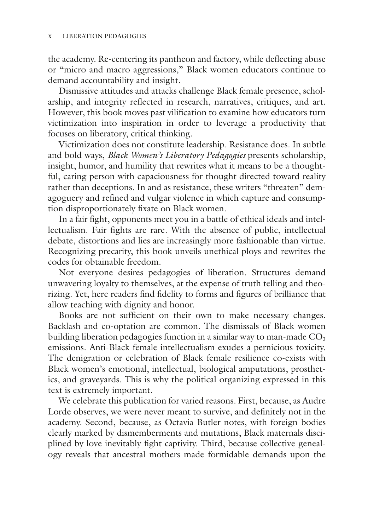the academy. Re-centering its pantheon and factory, while deflecting abuse or "micro and macro aggressions," Black women educators continue to demand accountability and insight.

Dismissive attitudes and attacks challenge Black female presence, scholarship, and integrity reflected in research, narratives, critiques, and art. However, this book moves past vilification to examine how educators turn victimization into inspiration in order to leverage a productivity that focuses on liberatory, critical thinking.

Victimization does not constitute leadership. Resistance does. In subtle and bold ways, *Black Women's Liberatory Pedagogies* presents scholarship, insight, humor, and humility that rewrites what it means to be a thoughtful, caring person with capaciousness for thought directed toward reality rather than deceptions. In and as resistance, these writers "threaten" demagoguery and refined and vulgar violence in which capture and consumption disproportionately fixate on Black women.

In a fair fight, opponents meet you in a battle of ethical ideals and intellectualism. Fair fights are rare. With the absence of public, intellectual debate, distortions and lies are increasingly more fashionable than virtue. Recognizing precarity, this book unveils unethical ploys and rewrites the codes for obtainable freedom.

Not everyone desires pedagogies of liberation. Structures demand unwavering loyalty to themselves, at the expense of truth telling and theorizing. Yet, here readers find fidelity to forms and figures of brilliance that allow teaching with dignity and honor.

Books are not sufficient on their own to make necessary changes. Backlash and co-optation are common. The dismissals of Black women building liberation pedagogies function in a similar way to man-made  $CO<sub>2</sub>$ emissions. Anti-Black female intellectualism exudes a pernicious toxicity. The denigration or celebration of Black female resilience co-exists with Black women's emotional, intellectual, biological amputations, prosthetics, and graveyards. This is why the political organizing expressed in this text is extremely important.

We celebrate this publication for varied reasons. First, because, as Audre Lorde observes, we were never meant to survive, and definitely not in the academy. Second, because, as Octavia Butler notes, with foreign bodies clearly marked by dismemberments and mutations, Black maternals disciplined by love inevitably fight captivity. Third, because collective genealogy reveals that ancestral mothers made formidable demands upon the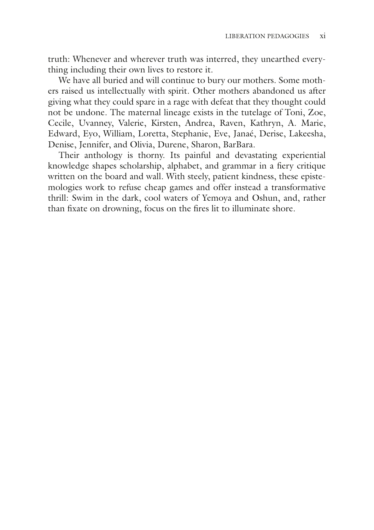truth: Whenever and wherever truth was interred, they unearthed everything including their own lives to restore it.

We have all buried and will continue to bury our mothers. Some mothers raised us intellectually with spirit. Other mothers abandoned us after giving what they could spare in a rage with defeat that they thought could not be undone. The maternal lineage exists in the tutelage of Toni, Zoe, Cecile, Uvanney, Valerie, Kirsten, Andrea, Raven, Kathryn, A. Marie, Edward, Eyo, William, Loretta, Stephanie, Eve, Janaé, Derise, Lakeesha, Denise, Jennifer, and Olivia, Durene, Sharon, BarBara.

Their anthology is thorny. Its painful and devastating experiential knowledge shapes scholarship, alphabet, and grammar in a fiery critique written on the board and wall. With steely, patient kindness, these epistemologies work to refuse cheap games and offer instead a transformative thrill: Swim in the dark, cool waters of Yemoya and Oshun, and, rather than fixate on drowning, focus on the fires lit to illuminate shore.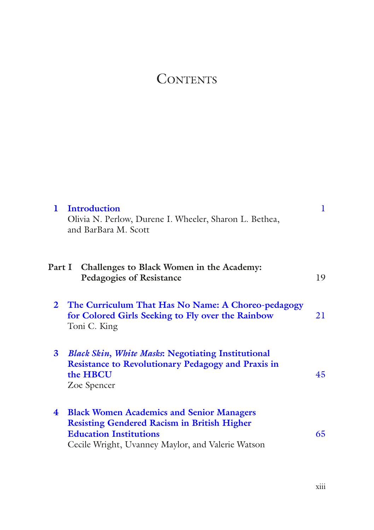### **CONTENTS**

| 1.                      | Introduction<br>Olivia N. Perlow, Durene I. Wheeler, Sharon L. Bethea,<br>and BarBara M. Scott                                                                                               | 1  |
|-------------------------|----------------------------------------------------------------------------------------------------------------------------------------------------------------------------------------------|----|
|                         | Part I Challenges to Black Women in the Academy:<br>Pedagogies of Resistance                                                                                                                 | 19 |
|                         | 2 The Curriculum That Has No Name: A Choreo-pedagogy<br>for Colored Girls Seeking to Fly over the Rainbow<br>Toni C. King                                                                    | 21 |
| 3                       | <b>Black Skin, White Masks: Negotiating Institutional</b><br><b>Resistance to Revolutionary Pedagogy and Praxis in</b><br>the HBCU<br>Zoe Spencer                                            | 45 |
| $\overline{\mathbf{4}}$ | <b>Black Women Academics and Senior Managers</b><br><b>Resisting Gendered Racism in British Higher</b><br><b>Education Institutions</b><br>Cecile Wright, Uvanney Maylor, and Valerie Watson | 65 |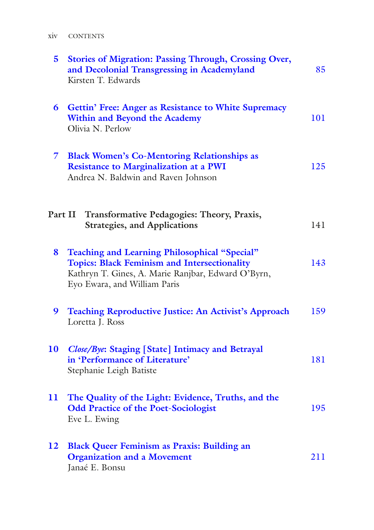| X1V | <b>CONTENTS</b> |
|-----|-----------------|
|     |                 |

| 5              | <b>Stories of Migration: Passing Through, Crossing Over,</b><br>and Decolonial Transgressing in Academyland<br>Kirsten T. Edwards                                                          | 85  |
|----------------|--------------------------------------------------------------------------------------------------------------------------------------------------------------------------------------------|-----|
| 6              | Gettin' Free: Anger as Resistance to White Supremacy<br>Within and Beyond the Academy<br>Olivia N. Perlow                                                                                  | 101 |
| $\overline{7}$ | <b>Black Women's Co-Mentoring Relationships as</b><br><b>Resistance to Marginalization at a PWI</b><br>Andrea N. Baldwin and Raven Johnson                                                 | 125 |
| Part II        | Transformative Pedagogies: Theory, Praxis,<br><b>Strategies, and Applications</b>                                                                                                          | 141 |
| 8              | Teaching and Learning Philosophical "Special"<br><b>Topics: Black Feminism and Intersectionality</b><br>Kathryn T. Gines, A. Marie Ranjbar, Edward O'Byrn,<br>Eyo Ewara, and William Paris | 143 |
| 9              | Teaching Reproductive Justice: An Activist's Approach<br>Loretta J. Ross                                                                                                                   | 159 |
| 10             | Close/Bye: Staging [State] Intimacy and Betrayal<br>in 'Performance of Literature'<br>Stephanie Leigh Batiste                                                                              | 181 |
| 11             | The Quality of the Light: Evidence, Truths, and the<br><b>Odd Practice of the Poet-Sociologist</b><br>Eve L. Ewing                                                                         | 195 |
| 12             | <b>Black Queer Feminism as Praxis: Building an</b><br><b>Organization and a Movement</b><br>Janaé E. Bonsu                                                                                 | 211 |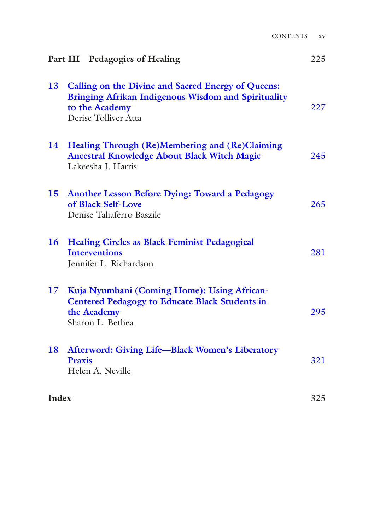|                 | <b>CONTENTS</b>                                                                                                                                     | XV  |
|-----------------|-----------------------------------------------------------------------------------------------------------------------------------------------------|-----|
|                 | Part III Pedagogies of Healing                                                                                                                      | 225 |
| 13              | Calling on the Divine and Sacred Energy of Queens:<br>Bringing Afrikan Indigenous Wisdom and Spirituality<br>to the Academy<br>Derise Tolliver Atta | 227 |
| 14              | Healing Through (Re)Membering and (Re)Claiming<br><b>Ancestral Knowledge About Black Witch Magic</b><br>Lakeesha J. Harris                          | 245 |
| 15              | <b>Another Lesson Before Dying: Toward a Pedagogy</b><br>of Black Self-Love<br>Denise Taliaferro Baszile                                            | 265 |
| 16              | <b>Healing Circles as Black Feminist Pedagogical</b><br><b>Interventions</b><br>Jennifer L. Richardson                                              | 281 |
| 17 <sup>7</sup> | Kuja Nyumbani (Coming Home): Using African-<br><b>Centered Pedagogy to Educate Black Students in</b><br>the Academy<br>Sharon L. Bethea             | 295 |
| 18              | Afterword: Giving Life-Black Women's Liberatory<br>Praxis<br>Helen A. Neville                                                                       | 321 |
| Index           |                                                                                                                                                     | 325 |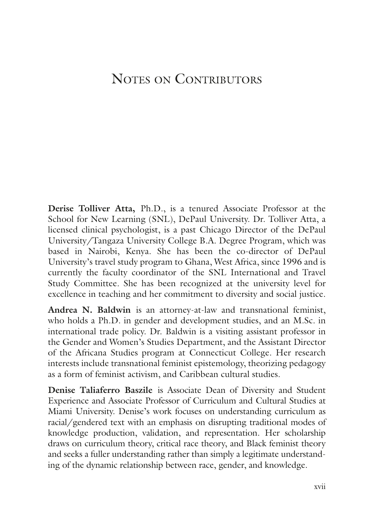#### NOTES ON CONTRIBUTORS

**Derise Tolliver Atta,** Ph.D., is a tenured Associate Professor at the School for New Learning (SNL), DePaul University. Dr. Tolliver Atta, a licensed clinical psychologist, is a past Chicago Director of the DePaul University/Tangaza University College B.A. Degree Program, which was based in Nairobi, Kenya. She has been the co-director of DePaul University's travel study program to Ghana, West Africa, since 1996 and is currently the faculty coordinator of the SNL International and Travel Study Committee. She has been recognized at the university level for excellence in teaching and her commitment to diversity and social justice.

**Andrea N. Baldwin** is an attorney-at-law and transnational feminist, who holds a Ph.D. in gender and development studies, and an M.Sc. in international trade policy. Dr. Baldwin is a visiting assistant professor in the Gender and Women's Studies Department, and the Assistant Director of the Africana Studies program at Connecticut College. Her research interests include transnational feminist epistemology, theorizing pedagogy as a form of feminist activism, and Caribbean cultural studies.

**Denise Taliaferro Baszile** is Associate Dean of Diversity and Student Experience and Associate Professor of Curriculum and Cultural Studies at Miami University. Denise's work focuses on understanding curriculum as racial/gendered text with an emphasis on disrupting traditional modes of knowledge production, validation, and representation. Her scholarship draws on curriculum theory, critical race theory, and Black feminist theory and seeks a fuller understanding rather than simply a legitimate understanding of the dynamic relationship between race, gender, and knowledge.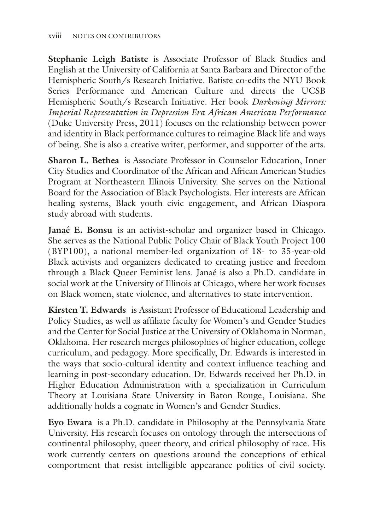**Stephanie Leigh Batiste** is Associate Professor of Black Studies and English at the University of California at Santa Barbara and Director of the Hemispheric South/s Research Initiative. Batiste co-edits the NYU Book Series Performance and American Culture and directs the UCSB Hemispheric South/s Research Initiative. Her book *Darkening Mirrors: Imperial Representation in Depression Era African American Performance* (Duke University Press, 2011) focuses on the relationship between power and identity in Black performance cultures to reimagine Black life and ways of being. She is also a creative writer, performer, and supporter of the arts.

**Sharon L. Bethea** is Associate Professor in Counselor Education, Inner City Studies and Coordinator of the African and African American Studies Program at Northeastern Illinois University. She serves on the National Board for the Association of Black Psychologists. Her interests are African healing systems, Black youth civic engagement, and African Diaspora study abroad with students.

**Janaé E. Bonsu** is an activist-scholar and organizer based in Chicago. She serves as the National Public Policy Chair of Black Youth Project 100 (BYP100), a national member-led organization of 18- to 35-year-old Black activists and organizers dedicated to creating justice and freedom through a Black Queer Feminist lens. Janaé is also a Ph.D. candidate in social work at the University of Illinois at Chicago, where her work focuses on Black women, state violence, and alternatives to state intervention.

**Kirsten T. Edwards** is Assistant Professor of Educational Leadership and Policy Studies, as well as affiliate faculty for Women's and Gender Studies and the Center for Social Justice at the University of Oklahoma in Norman, Oklahoma. Her research merges philosophies of higher education, college curriculum, and pedagogy. More specifically, Dr. Edwards is interested in the ways that socio-cultural identity and context influence teaching and learning in post-secondary education. Dr. Edwards received her Ph.D. in Higher Education Administration with a specialization in Curriculum Theory at Louisiana State University in Baton Rouge, Louisiana. She additionally holds a cognate in Women's and Gender Studies.

**Eyo Ewara** is a Ph.D. candidate in Philosophy at the Pennsylvania State University. His research focuses on ontology through the intersections of continental philosophy, queer theory, and critical philosophy of race. His work currently centers on questions around the conceptions of ethical comportment that resist intelligible appearance politics of civil society.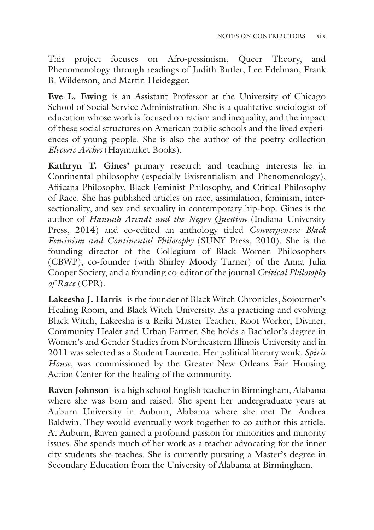This project focuses on Afro-pessimism, Queer Theory, and Phenomenology through readings of Judith Butler, Lee Edelman, Frank B. Wilderson, and Martin Heidegger.

**Eve L. Ewing** is an Assistant Professor at the University of Chicago School of Social Service Administration. She is a qualitative sociologist of education whose work is focused on racism and inequality, and the impact of these social structures on American public schools and the lived experiences of young people. She is also the author of the poetry collection *Electric Arches* (Haymarket Books).

**Kathryn T. Gines'** primary research and teaching interests lie in Continental philosophy (especially Existentialism and Phenomenology), Africana Philosophy, Black Feminist Philosophy, and Critical Philosophy of Race. She has published articles on race, assimilation, feminism, intersectionality, and sex and sexuality in contemporary hip-hop. Gines is the author of *Hannah Arendt and the Negro Question* (Indiana University Press, 2014) and co-edited an anthology titled *Convergences: Black Feminism and Continental Philosophy* (SUNY Press, 2010). She is the founding director of the Collegium of Black Women Philosophers (CBWP), co-founder (with Shirley Moody Turner) of the Anna Julia Cooper Society, and a founding co-editor of the journal *Critical Philosophy of Race* (CPR).

**Lakeesha J. Harris** is the founder of Black Witch Chronicles, Sojourner's Healing Room, and Black Witch University. As a practicing and evolving Black Witch, Lakeesha is a Reiki Master Teacher, Root Worker, Diviner, Community Healer and Urban Farmer. She holds a Bachelor's degree in Women's and Gender Studies from Northeastern Illinois University and in 2011 was selected as a Student Laureate. Her political literary work, *Spirit House*, was commissioned by the Greater New Orleans Fair Housing Action Center for the healing of the community.

**Raven Johnson** is a high school English teacher in Birmingham, Alabama where she was born and raised. She spent her undergraduate years at Auburn University in Auburn, Alabama where she met Dr. Andrea Baldwin. They would eventually work together to co-author this article. At Auburn, Raven gained a profound passion for minorities and minority issues. She spends much of her work as a teacher advocating for the inner city students she teaches. She is currently pursuing a Master's degree in Secondary Education from the University of Alabama at Birmingham.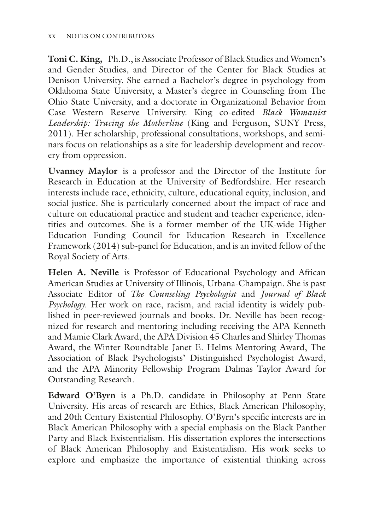**Toni C. King,** Ph.D., is Associate Professor of Black Studies and Women's and Gender Studies, and Director of the Center for Black Studies at Denison University. She earned a Bachelor's degree in psychology from Oklahoma State University, a Master's degree in Counseling from The Ohio State University, and a doctorate in Organizational Behavior from Case Western Reserve University. King co-edited *Black Womanist Leadership: Tracing the Motherline* (King and Ferguson, SUNY Press, 2011). Her scholarship, professional consultations, workshops, and seminars focus on relationships as a site for leadership development and recovery from oppression.

**Uvanney Maylor** is a professor and the Director of the Institute for Research in Education at the University of Bedfordshire. Her research interests include race, ethnicity, culture, educational equity, inclusion, and social justice. She is particularly concerned about the impact of race and culture on educational practice and student and teacher experience, identities and outcomes. She is a former member of the UK-wide Higher Education Funding Council for Education Research in Excellence Framework (2014) sub-panel for Education, and is an invited fellow of the Royal Society of Arts.

**Helen A. Neville** is Professor of Educational Psychology and African American Studies at University of Illinois, Urbana-Champaign. She is past Associate Editor of *The Counseling Psychologist* and *Journal of Black Psychology*. Her work on race, racism, and racial identity is widely published in peer-reviewed journals and books. Dr. Neville has been recognized for research and mentoring including receiving the APA Kenneth and Mamie Clark Award, the APA Division 45 Charles and Shirley Thomas Award, the Winter Roundtable Janet E. Helms Mentoring Award, The Association of Black Psychologists' Distinguished Psychologist Award, and the APA Minority Fellowship Program Dalmas Taylor Award for Outstanding Research.

**Edward O'Byrn** is a Ph.D. candidate in Philosophy at Penn State University. His areas of research are Ethics, Black American Philosophy, and 20th Century Existential Philosophy. O'Byrn's specific interests are in Black American Philosophy with a special emphasis on the Black Panther Party and Black Existentialism. His dissertation explores the intersections of Black American Philosophy and Existentialism. His work seeks to explore and emphasize the importance of existential thinking across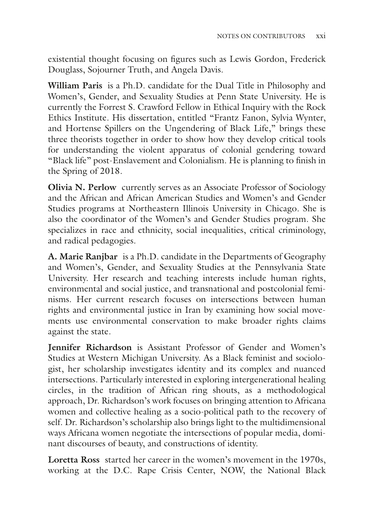existential thought focusing on figures such as Lewis Gordon, Frederick Douglass, Sojourner Truth, and Angela Davis.

**William Paris** is a Ph.D. candidate for the Dual Title in Philosophy and Women's, Gender, and Sexuality Studies at Penn State University. He is currently the Forrest S. Crawford Fellow in Ethical Inquiry with the Rock Ethics Institute. His dissertation, entitled "Frantz Fanon, Sylvia Wynter, and Hortense Spillers on the Ungendering of Black Life," brings these three theorists together in order to show how they develop critical tools for understanding the violent apparatus of colonial gendering toward "Black life" post-Enslavement and Colonialism. He is planning to finish in the Spring of 2018.

**Olivia N. Perlow** currently serves as an Associate Professor of Sociology and the African and African American Studies and Women's and Gender Studies programs at Northeastern Illinois University in Chicago. She is also the coordinator of the Women's and Gender Studies program. She specializes in race and ethnicity, social inequalities, critical criminology, and radical pedagogies.

**A. Marie Ranjbar** is a Ph.D. candidate in the Departments of Geography and Women's, Gender, and Sexuality Studies at the Pennsylvania State University. Her research and teaching interests include human rights, environmental and social justice, and transnational and postcolonial feminisms. Her current research focuses on intersections between human rights and environmental justice in Iran by examining how social movements use environmental conservation to make broader rights claims against the state.

**Jennifer Richardson** is Assistant Professor of Gender and Women's Studies at Western Michigan University. As a Black feminist and sociologist, her scholarship investigates identity and its complex and nuanced intersections. Particularly interested in exploring intergenerational healing circles, in the tradition of African ring shouts, as a methodological approach, Dr. Richardson's work focuses on bringing attention to Africana women and collective healing as a socio-political path to the recovery of self. Dr. Richardson's scholarship also brings light to the multidimensional ways Africana women negotiate the intersections of popular media, dominant discourses of beauty, and constructions of identity.

**Loretta Ross** started her career in the women's movement in the 1970s, working at the D.C. Rape Crisis Center, NOW, the National Black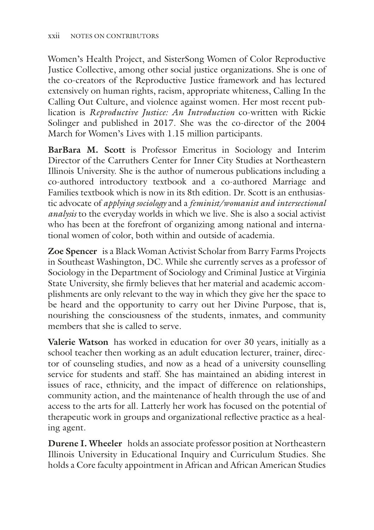Women's Health Project, and SisterSong Women of Color Reproductive Justice Collective, among other social justice organizations. She is one of the co-creators of the Reproductive Justice framework and has lectured extensively on human rights, racism, appropriate whiteness, Calling In the Calling Out Culture, and violence against women. Her most recent publication is *Reproductive Justice: An Introduction* co-written with Rickie Solinger and published in 2017. She was the co-director of the 2004 March for Women's Lives with 1.15 million participants.

**BarBara M. Scott** is Professor Emeritus in Sociology and Interim Director of the Carruthers Center for Inner City Studies at Northeastern Illinois University. She is the author of numerous publications including a co-authored introductory textbook and a co-authored Marriage and Families textbook which is now in its 8th edition. Dr. Scott is an enthusiastic advocate of *applying sociology* and a *feminist/womanist and intersectional analysis* to the everyday worlds in which we live. She is also a social activist who has been at the forefront of organizing among national and international women of color, both within and outside of academia.

**Zoe Spencer** is a Black Woman Activist Scholar from Barry Farms Projects in Southeast Washington, DC. While she currently serves as a professor of Sociology in the Department of Sociology and Criminal Justice at Virginia State University, she firmly believes that her material and academic accomplishments are only relevant to the way in which they give her the space to be heard and the opportunity to carry out her Divine Purpose, that is, nourishing the consciousness of the students, inmates, and community members that she is called to serve.

**Valerie Watson** has worked in education for over 30 years, initially as a school teacher then working as an adult education lecturer, trainer, director of counseling studies, and now as a head of a university counselling service for students and staff. She has maintained an abiding interest in issues of race, ethnicity, and the impact of difference on relationships, community action, and the maintenance of health through the use of and access to the arts for all. Latterly her work has focused on the potential of therapeutic work in groups and organizational reflective practice as a healing agent.

**Durene I. Wheeler** holds an associate professor position at Northeastern Illinois University in Educational Inquiry and Curriculum Studies. She holds a Core faculty appointment in African and African American Studies